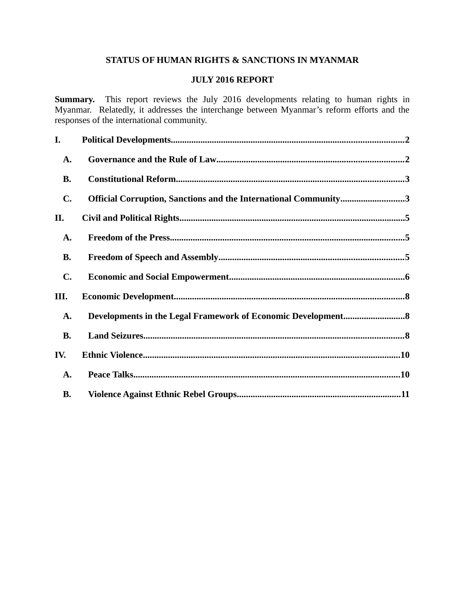# **STATUS OF HUMAN RIGHTS & SANCTIONS IN MYANMAR**

## **JULY 2016 REPORT**

**Summary.** This report reviews the July 2016 developments relating to human rights in Myanmar. Relatedly, it addresses the interchange between Myanmar's reform efforts and the responses of the international community.

| I.             |                                                                 |  |
|----------------|-----------------------------------------------------------------|--|
| A.             |                                                                 |  |
| <b>B.</b>      |                                                                 |  |
| $\mathbf{C}$ . | Official Corruption, Sanctions and the International Community3 |  |
| Н.             |                                                                 |  |
| <b>A.</b>      |                                                                 |  |
| <b>B.</b>      |                                                                 |  |
| C.             |                                                                 |  |
| III.           |                                                                 |  |
| <b>A.</b>      |                                                                 |  |
| <b>B.</b>      |                                                                 |  |
| IV.            |                                                                 |  |
| A.             |                                                                 |  |
| <b>B.</b>      |                                                                 |  |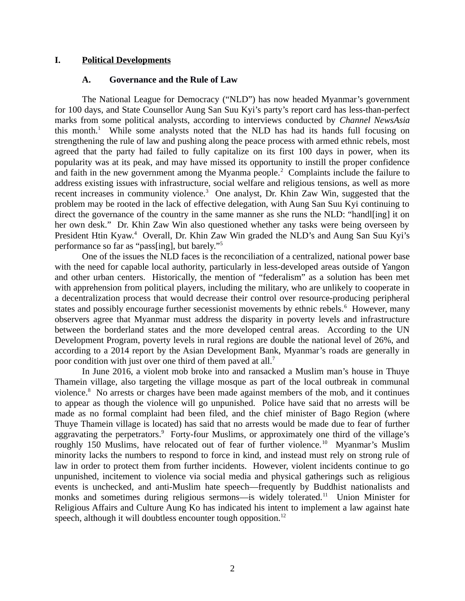### **I. Political Developments**

#### <span id="page-1-1"></span><span id="page-1-0"></span>**A. Governance and the Rule of Law**

The National League for Democracy ("NLD") has now headed Myanmar's government for 100 days, and State Counsellor Aung San Suu Kyi's party's report card has less-than-perfect marks from some political analysts, according to interviews conducted by *Channel NewsAsia* this month.<sup>1</sup> While some analysts noted that the NLD has had its hands full focusing on strengthening the rule of law and pushing along the peace process with armed ethnic rebels, most agreed that the party had failed to fully capitalize on its first 100 days in power, when its popularity was at its peak, and may have missed its opportunity to instill the proper confidence and faith in the new government among the Myanma people. $^2$  Complaints include the failure to address existing issues with infrastructure, social welfare and religious tensions, as well as more recent increases in community violence.<sup>3</sup> One analyst, Dr. Khin Zaw Win, suggested that the problem may be rooted in the lack of effective delegation, with Aung San Suu Kyi continuing to direct the governance of the country in the same manner as she runs the NLD: "handle it on her own desk." Dr. Khin Zaw Win also questioned whether any tasks were being overseen by President Htin Kyaw.<sup>4</sup> Overall, Dr. Khin Zaw Win graded the NLD's and Aung San Suu Kyi's performance so far as "pass[ing], but barely."<sup>5</sup>

One of the issues the NLD faces is the reconciliation of a centralized, national power base with the need for capable local authority, particularly in less-developed areas outside of Yangon and other urban centers. Historically, the mention of "federalism" as a solution has been met with apprehension from political players, including the military, who are unlikely to cooperate in a decentralization process that would decrease their control over resource-producing peripheral states and possibly encourage further secessionist movements by ethnic rebels. $^6$  However, many observers agree that Myanmar must address the disparity in poverty levels and infrastructure between the borderland states and the more developed central areas. According to the UN Development Program, poverty levels in rural regions are double the national level of 26%, and according to a 2014 report by the Asian Development Bank, Myanmar's roads are generally in poor condition with just over one third of them paved at all.<sup>7</sup>

In June 2016, a violent mob broke into and ransacked a Muslim man's house in Thuye Thamein village, also targeting the village mosque as part of the local outbreak in communal violence.<sup>8</sup> No arrests or charges have been made against members of the mob, and it continues to appear as though the violence will go unpunished. Police have said that no arrests will be made as no formal complaint had been filed, and the chief minister of Bago Region (where Thuye Thamein village is located) has said that no arrests would be made due to fear of further aggravating the perpetrators.<sup>9</sup> Forty-four Muslims, or approximately one third of the village's roughly 150 Muslims, have relocated out of fear of further violence.<sup>10</sup> Myanmar's Muslim minority lacks the numbers to respond to force in kind, and instead must rely on strong rule of law in order to protect them from further incidents. However, violent incidents continue to go unpunished, incitement to violence via social media and physical gatherings such as religious events is unchecked, and anti-Muslim hate speech—frequently by Buddhist nationalists and monks and sometimes during religious sermons—is widely tolerated.<sup>11</sup> Union Minister for Religious Affairs and Culture Aung Ko has indicated his intent to implement a law against hate speech, although it will doubtless encounter tough opposition.<sup>12</sup>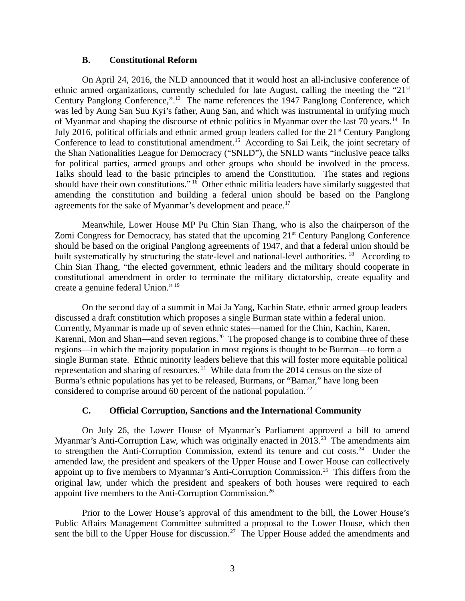#### <span id="page-2-1"></span>**B. Constitutional Reform**

On April 24, 2016, the NLD announced that it would host an all-inclusive conference of ethnic armed organizations, currently scheduled for late August, calling the meeting the "21 $\mathrm{^{st}}$ Century Panglong Conference,".<sup>13</sup> The name references the 1947 Panglong Conference, which was led by Aung San Suu Kyi's father, Aung San, and which was instrumental in unifying much of Myanmar and shaping the discourse of ethnic politics in Myanmar over the last 70 years.<sup>14</sup> In July 2016, political officials and ethnic armed group leaders called for the 21<sup>st</sup> Century Panglong Conference to lead to constitutional amendment.<sup>15</sup> According to Sai Leik, the joint secretary of the Shan Nationalities League for Democracy ("SNLD"), the SNLD wants "inclusive peace talks for political parties, armed groups and other groups who should be involved in the process. Talks should lead to the basic principles to amend the Constitution. The states and regions should have their own constitutions."  $16$  Other ethnic militia leaders have similarly suggested that amending the constitution and building a federal union should be based on the Panglong agreements for the sake of Myanmar's development and peace. $17$ 

Meanwhile, Lower House MP Pu Chin Sian Thang, who is also the chairperson of the Zomi Congress for Democracy, has stated that the upcoming  $21<sup>st</sup>$  Century Panglong Conference should be based on the original Panglong agreements of 1947, and that a federal union should be built systematically by structuring the state-level and national-level authorities. <sup>18</sup> According to Chin Sian Thang, "the elected government, ethnic leaders and the military should cooperate in constitutional amendment in order to terminate the military dictatorship, create equality and create a genuine federal Union." <sup>19</sup>

On the second day of a summit in Mai Ja Yang, Kachin State, ethnic armed group leaders discussed a draft constitution which proposes a single Burman state within a federal union. Currently, Myanmar is made up of seven ethnic states—named for the Chin, Kachin, Karen, Karenni, Mon and Shan—and seven regions.<sup>20</sup> The proposed change is to combine three of these regions—in which the majority population in most regions is thought to be Burman—to form a single Burman state. Ethnic minority leaders believe that this will foster more equitable political representation and sharing of resources.<sup>21</sup> While data from the 2014 census on the size of Burma's ethnic populations has yet to be released, Burmans, or "Bamar," have long been considered to comprise around 60 percent of the national population.<sup>22</sup>

## <span id="page-2-0"></span>**C. Official Corruption, Sanctions and the International Community**

On July 26, the Lower House of Myanmar's Parliament approved a bill to amend Myanmar's Anti-Corruption Law, which was originally enacted in 2013.<sup>23</sup> The amendments aim to strengthen the Anti-Corruption Commission, extend its tenure and cut costs.<sup>24</sup> Under the amended law, the president and speakers of the Upper House and Lower House can collectively appoint up to five members to Myanmar's Anti-Corruption Commission.<sup>25</sup> This differs from the original law, under which the president and speakers of both houses were required to each appoint five members to the Anti-Corruption Commission.<sup>26</sup>

Prior to the Lower House's approval of this amendment to the bill, the Lower House's Public Affairs Management Committee submitted a proposal to the Lower House, which then sent the bill to the Upper House for discussion.<sup>27</sup> The Upper House added the amendments and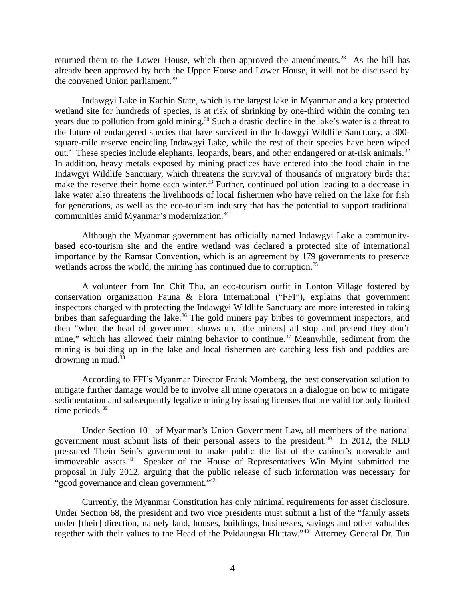returned them to the Lower House, which then approved the amendments.<sup>28</sup> As the bill has already been approved by both the Upper House and Lower House, it will not be discussed by the convened Union parliament.<sup>29</sup>

Indawgyi Lake in Kachin State, which is the largest lake in Myanmar and a key protected wetland site for hundreds of species, is at risk of shrinking by one-third within the coming ten years due to pollution from gold mining.<sup>30</sup> Such a drastic decline in the lake's water is a threat to the future of endangered species that have survived in the Indawgyi Wildlife Sanctuary, a 300 square-mile reserve encircling Indawgyi Lake, while the rest of their species have been wiped out.<sup>31</sup> These species include elephants, leopards, bears, and other endangered or at-risk animals.<sup>32</sup> In addition, heavy metals exposed by mining practices have entered into the food chain in the Indawgyi Wildlife Sanctuary, which threatens the survival of thousands of migratory birds that make the reserve their home each winter.<sup>33</sup> Further, continued pollution leading to a decrease in lake water also threatens the livelihoods of local fishermen who have relied on the lake for fish for generations, as well as the eco-tourism industry that has the potential to support traditional communities amid Myanmar's modernization.<sup>34</sup>

Although the Myanmar government has officially named Indawgyi Lake a communitybased eco-tourism site and the entire wetland was declared a protected site of international importance by the Ramsar Convention, which is an agreement by 179 governments to preserve wetlands across the world, the mining has continued due to corruption.<sup>35</sup>

A volunteer from Inn Chit Thu, an eco-tourism outfit in Lonton Village fostered by conservation organization Fauna & Flora International ("FFI"), explains that government inspectors charged with protecting the Indawgyi Wildlife Sanctuary are more interested in taking bribes than safeguarding the lake. $36$  The gold miners pay bribes to government inspectors, and then "when the head of government shows up, [the miners] all stop and pretend they don't mine," which has allowed their mining behavior to continue.<sup>37</sup> Meanwhile, sediment from the mining is building up in the lake and local fishermen are catching less fish and paddies are drowning in mud. $38$ 

According to FFI's Myanmar Director Frank Momberg, the best conservation solution to mitigate further damage would be to involve all mine operators in a dialogue on how to mitigate sedimentation and subsequently legalize mining by issuing licenses that are valid for only limited time periods. $39$ 

Under Section 101 of Myanmar's Union Government Law, all members of the national government must submit lists of their personal assets to the president. $40$  In 2012, the NLD pressured Thein Sein's government to make public the list of the cabinet's moveable and immoveable assets.<sup>41</sup> Speaker of the House of Representatives Win Myint submitted the proposal in July 2012, arguing that the public release of such information was necessary for "good governance and clean government."<sup>42</sup>

Currently, the Myanmar Constitution has only minimal requirements for asset disclosure. Under Section 68, the president and two vice presidents must submit a list of the "family assets under [their] direction, namely land, houses, buildings, businesses, savings and other valuables together with their values to the Head of the Pyidaungsu Hluttaw."<sup>43</sup> Attorney General Dr. Tun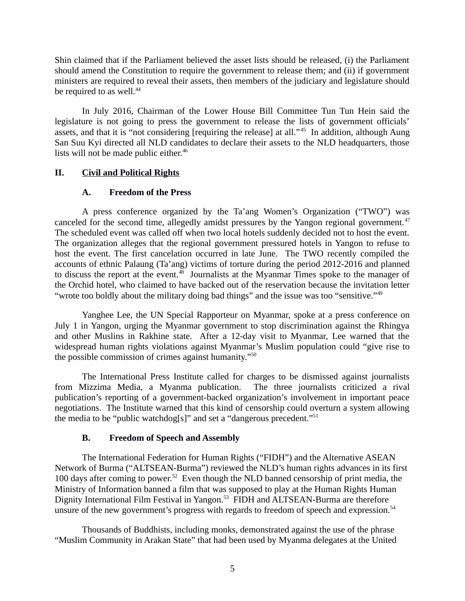Shin claimed that if the Parliament believed the asset lists should be released, (i) the Parliament should amend the Constitution to require the government to release them; and (ii) if government ministers are required to reveal their assets, then members of the judiciary and legislature should be required to as well.<sup>44</sup>

In July 2016, Chairman of the Lower House Bill Committee Tun Tun Hein said the legislature is not going to press the government to release the lists of government officials' assets, and that it is "not considering [requiring the release] at all."<sup>45</sup> In addition, although Aung San Suu Kyi directed all NLD candidates to declare their assets to the NLD headquarters, those lists will not be made public either.<sup>46</sup>

## **II. Civil and Political Rights**

## <span id="page-4-2"></span><span id="page-4-1"></span>**A. Freedom of the Press**

A press conference organized by the Ta'ang Women's Organization ("TWO") was canceled for the second time, allegedly amidst pressures by the Yangon regional government.<sup>47</sup> The scheduled event was called off when two local hotels suddenly decided not to host the event. The organization alleges that the regional government pressured hotels in Yangon to refuse to host the event. The first cancelation occurred in late June. The TWO recently compiled the accounts of ethnic Palaung (Ta'ang) victims of torture during the period 2012-2016 and planned to discuss the report at the event.<sup>48</sup> Journalists at the Myanmar Times spoke to the manager of the Orchid hotel, who claimed to have backed out of the reservation because the invitation letter "wrote too boldly about the military doing bad things" and the issue was too "sensitive."<sup>49</sup>

Yanghee Lee, the UN Special Rapporteur on Myanmar, spoke at a press conference on July 1 in Yangon, urging the Myanmar government to stop discrimination against the Rhingya and other Muslins in Rakhine state. After a 12-day visit to Myanmar, Lee warned that the widespread human rights violations against Myanmar's Muslim population could "give rise to the possible commission of crimes against humanity."<sup>50</sup>

The International Press Institute called for charges to be dismissed against journalists from Mizzima Media, a Myanma publication. The three journalists criticized a rival publication's reporting of a government-backed organization's involvement in important peace negotiations. The Institute warned that this kind of censorship could overturn a system allowing the media to be "public watchdog[s]" and set a "dangerous precedent."<sup>51</sup>

## <span id="page-4-0"></span>**B. Freedom of Speech and Assembly**

The International Federation for Human Rights ("FIDH") and the Alternative ASEAN Network of Burma ("ALTSEAN-Burma") reviewed the NLD's human rights advances in its first 100 days after coming to power.<sup>52</sup> Even though the NLD banned censorship of print media, the Ministry of Information banned a film that was supposed to play at the Human Rights Human Dignity International Film Festival in Yangon.<sup>53</sup> FIDH and ALTSEAN-Burma are therefore unsure of the new government's progress with regards to freedom of speech and expression.<sup>54</sup>

Thousands of Buddhists, including monks, demonstrated against the use of the phrase "Muslim Community in Arakan State" that had been used by Myanma delegates at the United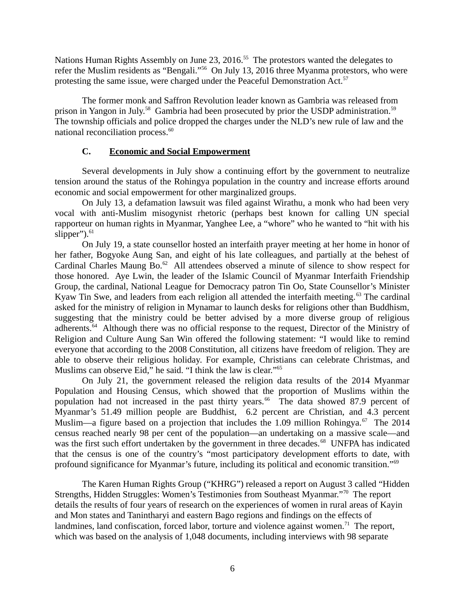Nations Human Rights Assembly on June 23, 2016.<sup>55</sup> The protestors wanted the delegates to refer the Muslim residents as "Bengali."<sup>56</sup> On July 13, 2016 three Myanma protestors, who were protesting the same issue, were charged under the Peaceful Demonstration Act.<sup>57</sup>

The former monk and Saffron Revolution leader known as Gambria was released from prison in Yangon in July.<sup>58</sup> Gambria had been prosecuted by prior the USDP administration.<sup>59</sup> The township officials and police dropped the charges under the NLD's new rule of law and the national reconciliation process.<sup>60</sup>

#### <span id="page-5-0"></span>**C. Economic and Social Empowerment**

Several developments in July show a continuing effort by the government to neutralize tension around the status of the Rohingya population in the country and increase efforts around economic and social empowerment for other marginalized groups.

On July 13, a defamation lawsuit was filed against Wirathu, a monk who had been very vocal with anti-Muslim misogynist rhetoric (perhaps best known for calling UN special rapporteur on human rights in Myanmar, Yanghee Lee, a "whore" who he wanted to "hit with his slipper"). $61$ 

On July 19, a state counsellor hosted an interfaith prayer meeting at her home in honor of her father, Bogyoke Aung San, and eight of his late colleagues, and partially at the behest of Cardinal Charles Maung Bo.<sup>62</sup> All attendees observed a minute of silence to show respect for those honored. Aye Lwin, the leader of the Islamic Council of Myanmar Interfaith Friendship Group, the cardinal, National League for Democracy patron Tin Oo, State Counsellor's Minister Kyaw Tin Swe, and leaders from each religion all attended the interfaith meeting.<sup>63</sup> The cardinal asked for the ministry of religion in Mynamar to launch desks for religions other than Buddhism, suggesting that the ministry could be better advised by a more diverse group of religious adherents.<sup>64</sup> Although there was no official response to the request, Director of the Ministry of Religion and Culture Aung San Win offered the following statement: "I would like to remind everyone that according to the 2008 Constitution, all citizens have freedom of religion. They are able to observe their religious holiday. For example, Christians can celebrate Christmas, and Muslims can observe Eid," he said. "I think the law is clear."<sup>65</sup>

On July 21, the government released the religion data results of the 2014 Myanmar Population and Housing Census, which showed that the proportion of Muslims within the population had not increased in the past thirty years.<sup>66</sup> The data showed 87.9 percent of Myanmar's 51.49 million people are Buddhist, 6.2 percent are Christian, and 4.3 percent Muslim—a figure based on a projection that includes the 1.09 million Rohingya. $67$  The 2014 census reached nearly 98 per cent of the population—an undertaking on a massive scale—and was the first such effort undertaken by the government in three decades.<sup>68</sup> UNFPA has indicated that the census is one of the country's "most participatory development efforts to date, with profound significance for Myanmar's future, including its political and economic transition."<sup>69</sup>

The Karen Human Rights Group ("KHRG") released a report on August 3 called "Hidden Strengths, Hidden Struggles: Women's Testimonies from Southeast Myanmar."<sup>70</sup> The report details the results of four years of research on the experiences of women in rural areas of Kayin and Mon states and Tanintharyi and eastern Bago regions and findings on the effects of landmines, land confiscation, forced labor, torture and violence against women.<sup>71</sup> The report, which was based on the analysis of 1,048 documents, including interviews with 98 separate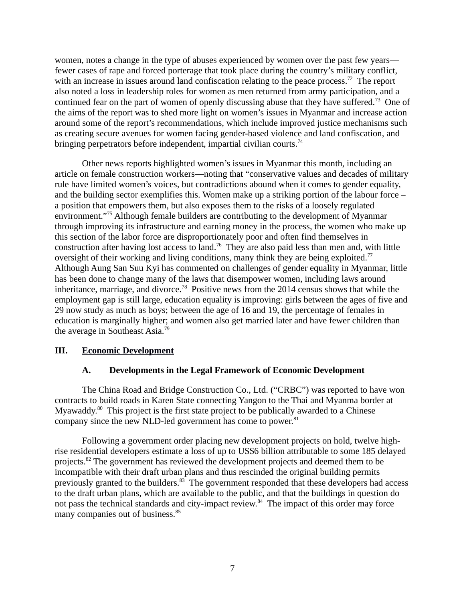women, notes a change in the type of abuses experienced by women over the past few years fewer cases of rape and forced porterage that took place during the country's military conflict, with an increase in issues around land confiscation relating to the peace process.<sup>72</sup> The report also noted a loss in leadership roles for women as men returned from army participation, and a continued fear on the part of women of openly discussing abuse that they have suffered.<sup>73</sup> One of the aims of the report was to shed more light on women's issues in Myanmar and increase action around some of the report's recommendations, which include improved justice mechanisms such as creating secure avenues for women facing gender-based violence and land confiscation, and bringing perpetrators before independent, impartial civilian courts.<sup>74</sup>

Other news reports highlighted women's issues in Myanmar this month, including an article on female construction workers—noting that "conservative values and decades of military rule have limited women's voices, but contradictions abound when it comes to gender equality, and the building sector exemplifies this. Women make up a striking portion of the labour force – a position that empowers them, but also exposes them to the risks of a loosely regulated environment."<sup>75</sup> Although female builders are contributing to the development of Myanmar through improving its infrastructure and earning money in the process, the women who make up this section of the labor force are disproportionately poor and often find themselves in construction after having lost access to land.<sup>76</sup> They are also paid less than men and, with little oversight of their working and living conditions, many think they are being exploited. $77$ Although Aung San Suu Kyi has commented on challenges of gender equality in Myanmar, little has been done to change many of the laws that disempower women, including laws around inheritance, marriage, and divorce.<sup>78</sup> Positive news from the 2014 census shows that while the employment gap is still large, education equality is improving: girls between the ages of five and 29 now study as much as boys; between the age of 16 and 19, the percentage of females in education is marginally higher; and women also get married later and have fewer children than the average in Southeast Asia.<sup>79</sup>

### **III. Economic Development**

### <span id="page-6-1"></span><span id="page-6-0"></span>**A. Developments in the Legal Framework of Economic Development**

The China Road and Bridge Construction Co., Ltd. ("CRBC") was reported to have won contracts to build roads in Karen State connecting Yangon to the Thai and Myanma border at Myawaddy. $80$  This project is the first state project to be publically awarded to a Chinese company since the new NLD-led government has come to power. $81$ 

Following a government order placing new development projects on hold, twelve highrise residential developers estimate a loss of up to US\$6 billion attributable to some 185 delayed projects.<sup>82</sup> The government has reviewed the development projects and deemed them to be incompatible with their draft urban plans and thus rescinded the original building permits previously granted to the builders.<sup>83</sup> The government responded that these developers had access to the draft urban plans, which are available to the public, and that the buildings in question do not pass the technical standards and city-impact review.<sup>84</sup> The impact of this order may force many companies out of business.<sup>85</sup>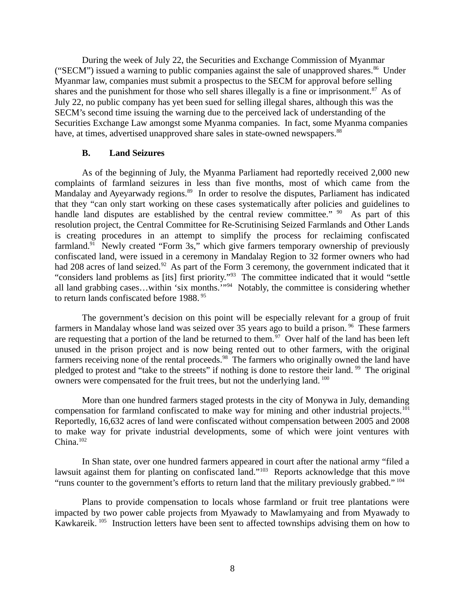During the week of July 22, the Securities and Exchange Commission of Myanmar ("SECM") issued a warning to public companies against the sale of unapproved shares. $86$  Under Myanmar law, companies must submit a prospectus to the SECM for approval before selling shares and the punishment for those who sell shares illegally is a fine or imprisonment.<sup>87</sup> As of July 22, no public company has yet been sued for selling illegal shares, although this was the SECM's second time issuing the warning due to the perceived lack of understanding of the Securities Exchange Law amongst some Myanma companies. In fact, some Myanma companies have, at times, advertised unapproved share sales in state-owned newspapers.<sup>88</sup>

#### <span id="page-7-0"></span>**B. Land Seizures**

As of the beginning of July, the Myanma Parliament had reportedly received 2,000 new complaints of farmland seizures in less than five months, most of which came from the Mandalay and Ayeyarwady regions.<sup>89</sup> In order to resolve the disputes, Parliament has indicated that they "can only start working on these cases systematically after policies and guidelines to handle land disputes are established by the central review committee."  $90$  As part of this resolution project, the Central Committee for Re-Scrutinising Seized Farmlands and Other Lands is creating procedures in an attempt to simplify the process for reclaiming confiscated farmland.<sup>91</sup> Newly created "Form 3s," which give farmers temporary ownership of previously confiscated land, were issued in a ceremony in Mandalay Region to 32 former owners who had had 208 acres of land seized.<sup>92</sup> As part of the Form 3 ceremony, the government indicated that it "considers land problems as [its] first priority."<sup>93</sup> The committee indicated that it would "settle all land grabbing cases...within 'six months.'"<sup>94</sup> Notably, the committee is considering whether to return lands confiscated before 1988.<sup>95</sup>

The government's decision on this point will be especially relevant for a group of fruit farmers in Mandalay whose land was seized over 35 years ago to build a prison.<sup>96</sup> These farmers are requesting that a portion of the land be returned to them.<sup>97</sup> Over half of the land has been left unused in the prison project and is now being rented out to other farmers, with the original farmers receiving none of the rental proceeds.<sup>98</sup> The farmers who originally owned the land have pledged to protest and "take to the streets" if nothing is done to restore their land. <sup>99</sup> The original owners were compensated for the fruit trees, but not the underlying land.<sup>100</sup>

More than one hundred farmers staged protests in the city of Monywa in July, demanding compensation for farmland confiscated to make way for mining and other industrial projects.<sup>101</sup> Reportedly, 16,632 acres of land were confiscated without compensation between 2005 and 2008 to make way for private industrial developments, some of which were joint ventures with  $China.<sup>102</sup>$ 

In Shan state, over one hundred farmers appeared in court after the national army "filed a lawsuit against them for planting on confiscated land."<sup>103</sup> Reports acknowledge that this move "runs counter to the government's efforts to return land that the military previously grabbed."  $^{104}$ 

Plans to provide compensation to locals whose farmland or fruit tree plantations were impacted by two power cable projects from Myawady to Mawlamyaing and from Myawady to Kawkareik. <sup>105</sup> Instruction letters have been sent to affected townships advising them on how to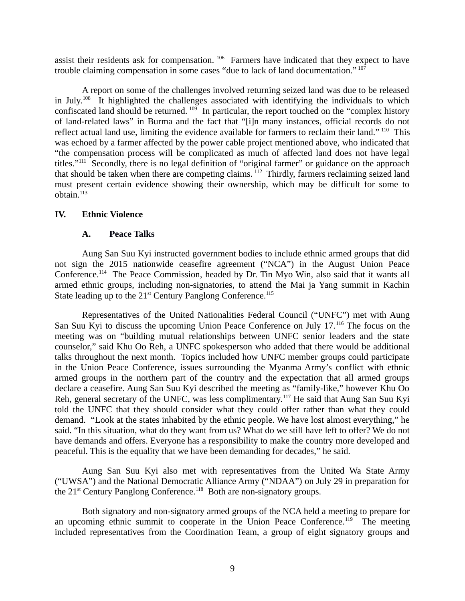assist their residents ask for compensation.<sup>106</sup> Farmers have indicated that they expect to have trouble claiming compensation in some cases "due to lack of land documentation." <sup>107</sup>

A report on some of the challenges involved returning seized land was due to be released in July.<sup>108</sup> It highlighted the challenges associated with identifying the individuals to which confiscated land should be returned.<sup>109</sup> In particular, the report touched on the "complex history" of land-related laws" in Burma and the fact that "[i]n many instances, official records do not reflect actual land use, limiting the evidence available for farmers to reclaim their land." <sup>110</sup> This was echoed by a farmer affected by the power cable project mentioned above, who indicated that "the compensation process will be complicated as much of affected land does not have legal titles."<sup>111</sup> Secondly, there is no legal definition of "original farmer" or guidance on the approach that should be taken when there are competing claims. <sup>112</sup> Thirdly, farmers reclaiming seized land must present certain evidence showing their ownership, which may be difficult for some to obtain.<sup>113</sup>

### **IV. Ethnic Violence**

#### <span id="page-8-1"></span><span id="page-8-0"></span>**A. Peace Talks**

Aung San Suu Kyi instructed government bodies to include ethnic armed groups that did not sign the 2015 nationwide ceasefire agreement ("NCA") in the August Union Peace Conference.<sup>114</sup> The Peace Commission, headed by Dr. Tin Myo Win, also said that it wants all armed ethnic groups, including non-signatories, to attend the Mai ja Yang summit in Kachin State leading up to the  $21<sup>st</sup>$  Century Panglong Conference.<sup>115</sup>

Representatives of the United Nationalities Federal Council ("UNFC") met with Aung San Suu Kyi to discuss the upcoming Union Peace Conference on July 17.<sup>116</sup> The focus on the meeting was on "building mutual relationships between UNFC senior leaders and the state counselor," said Khu Oo Reh, a UNFC spokesperson who added that there would be additional talks throughout the next month. Topics included how UNFC member groups could participate in the Union Peace Conference, issues surrounding the Myanma Army's conflict with ethnic armed groups in the northern part of the country and the expectation that all armed groups declare a ceasefire. Aung San Suu Kyi described the meeting as "family-like," however Khu Oo Reh, general secretary of the UNFC, was less complimentary.<sup>117</sup> He said that Aung San Suu Kyi told the UNFC that they should consider what they could offer rather than what they could demand. "Look at the states inhabited by the ethnic people. We have lost almost everything," he said. "In this situation, what do they want from us? What do we still have left to offer? We do not have demands and offers. Everyone has a responsibility to make the country more developed and peaceful. This is the equality that we have been demanding for decades," he said.

Aung San Suu Kyi also met with representatives from the United Wa State Army ("UWSA") and the National Democratic Alliance Army ("NDAA") on July 29 in preparation for the  $21<sup>st</sup>$  Century Panglong Conference.<sup>118</sup> Both are non-signatory groups.

Both signatory and non-signatory armed groups of the NCA held a meeting to prepare for an upcoming ethnic summit to cooperate in the Union Peace Conference.<sup>119</sup> The meeting included representatives from the Coordination Team, a group of eight signatory groups and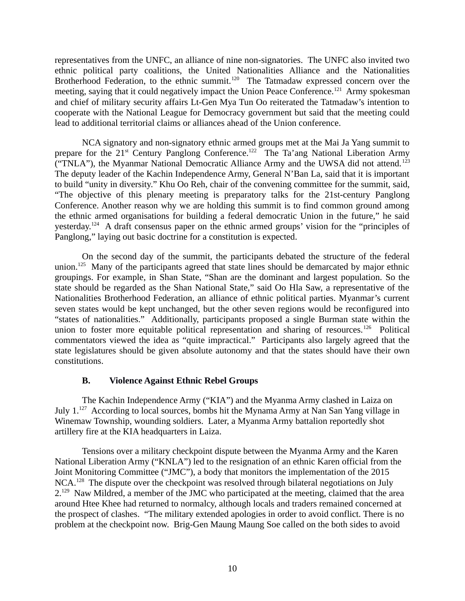representatives from the UNFC, an alliance of nine non-signatories. The UNFC also invited two ethnic political party coalitions, the United Nationalities Alliance and the Nationalities Brotherhood Federation, to the ethnic summit.<sup>120</sup> The Tatmadaw expressed concern over the meeting, saying that it could negatively impact the Union Peace Conference.<sup>121</sup> Army spokesman and chief of military security affairs Lt-Gen Mya Tun Oo reiterated the Tatmadaw's intention to cooperate with the National League for Democracy government but said that the meeting could lead to additional territorial claims or alliances ahead of the Union conference.

NCA signatory and non-signatory ethnic armed groups met at the Mai Ja Yang summit to prepare for the 21<sup>st</sup> Century Panglong Conference.<sup>122</sup> The Ta'ang National Liberation Army ("TNLA"), the Myanmar National Democratic Alliance Army and the UWSA did not attend.<sup>123</sup> The deputy leader of the Kachin Independence Army, General N'Ban La, said that it is important to build "unity in diversity." Khu Oo Reh, chair of the convening committee for the summit, said, "The objective of this plenary meeting is preparatory talks for the 21st-century Panglong Conference. Another reason why we are holding this summit is to find common ground among the ethnic armed organisations for building a federal democratic Union in the future," he said yesterday.<sup>124</sup> A draft consensus paper on the ethnic armed groups' vision for the "principles of Panglong," laying out basic doctrine for a constitution is expected.

On the second day of the summit, the participants debated the structure of the federal union.<sup>125</sup> Many of the participants agreed that state lines should be demarcated by major ethnic groupings. For example, in Shan State, "Shan are the dominant and largest population. So the state should be regarded as the Shan National State," said Oo Hla Saw, a representative of the Nationalities Brotherhood Federation, an alliance of ethnic political parties. Myanmar's current seven states would be kept unchanged, but the other seven regions would be reconfigured into "states of nationalities." Additionally, participants proposed a single Burman state within the union to foster more equitable political representation and sharing of resources.<sup>126</sup> Political commentators viewed the idea as "quite impractical." Participants also largely agreed that the state legislatures should be given absolute autonomy and that the states should have their own constitutions.

## <span id="page-9-0"></span>**B. Violence Against Ethnic Rebel Groups**

The Kachin Independence Army ("KIA") and the Myanma Army clashed in Laiza on July 1.<sup>127</sup> According to local sources, bombs hit the Mynama Army at Nan San Yang village in Winemaw Township, wounding soldiers. Later, a Myanma Army battalion reportedly shot artillery fire at the KIA headquarters in Laiza.

Tensions over a military checkpoint dispute between the Myanma Army and the Karen National Liberation Army ("KNLA") led to the resignation of an ethnic Karen official from the Joint Monitoring Committee ("JMC"), a body that monitors the implementation of the 2015 NCA.<sup>128</sup> The dispute over the checkpoint was resolved through bilateral negotiations on July 2.<sup>129</sup> Naw Mildred, a member of the JMC who participated at the meeting, claimed that the area around Htee Khee had returned to normalcy, although locals and traders remained concerned at the prospect of clashes. "The military extended apologies in order to avoid conflict. There is no problem at the checkpoint now. Brig-Gen Maung Maung Soe called on the both sides to avoid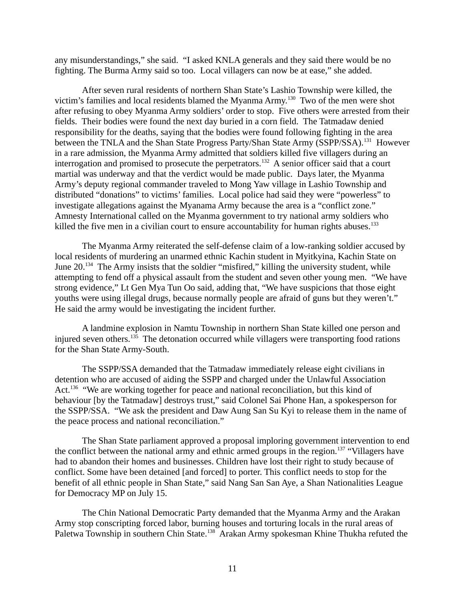any misunderstandings," she said. "I asked KNLA generals and they said there would be no fighting. The Burma Army said so too. Local villagers can now be at ease," she added.

After seven rural residents of northern Shan State's Lashio Township were killed, the victim's families and local residents blamed the Myanma Army.<sup>130</sup> Two of the men were shot after refusing to obey Myanma Army soldiers' order to stop. Five others were arrested from their fields. Their bodies were found the next day buried in a corn field. The Tatmadaw denied responsibility for the deaths, saying that the bodies were found following fighting in the area between the TNLA and the Shan State Progress Party/Shan State Army (SSPP/SSA).<sup>131</sup> However in a rare admission, the Myanma Army admitted that soldiers killed five villagers during an interrogation and promised to prosecute the perpetrators.<sup>132</sup> A senior officer said that a court martial was underway and that the verdict would be made public. Days later, the Myanma Army's deputy regional commander traveled to Mong Yaw village in Lashio Township and distributed "donations" to victims' families. Local police had said they were "powerless" to investigate allegations against the Myanama Army because the area is a "conflict zone." Amnesty International called on the Myanma government to try national army soldiers who killed the five men in a civilian court to ensure accountability for human rights abuses. $133$ 

The Myanma Army reiterated the self-defense claim of a low-ranking soldier accused by local residents of murdering an unarmed ethnic Kachin student in Myitkyina, Kachin State on June 20.<sup>134</sup> The Army insists that the soldier "misfired," killing the university student, while attempting to fend off a physical assault from the student and seven other young men. "We have strong evidence," Lt Gen Mya Tun Oo said, adding that, "We have suspicions that those eight youths were using illegal drugs, because normally people are afraid of guns but they weren't." He said the army would be investigating the incident further.

A landmine explosion in Namtu Township in northern Shan State killed one person and injured seven others.<sup>135</sup> The detonation occurred while villagers were transporting food rations for the Shan State Army-South.

The SSPP/SSA demanded that the Tatmadaw immediately release eight civilians in detention who are accused of aiding the SSPP and charged under the Unlawful Association Act.<sup>136</sup> "We are working together for peace and national reconciliation, but this kind of behaviour [by the Tatmadaw] destroys trust," said Colonel Sai Phone Han, a spokesperson for the SSPP/SSA. "We ask the president and Daw Aung San Su Kyi to release them in the name of the peace process and national reconciliation."

The Shan State parliament approved a proposal imploring government intervention to end the conflict between the national army and ethnic armed groups in the region.<sup>137</sup> "Villagers have had to abandon their homes and businesses. Children have lost their right to study because of conflict. Some have been detained [and forced] to porter. This conflict needs to stop for the benefit of all ethnic people in Shan State," said Nang San San Aye, a Shan Nationalities League for Democracy MP on July 15.

The Chin National Democratic Party demanded that the Myanma Army and the Arakan Army stop conscripting forced labor, burning houses and torturing locals in the rural areas of Paletwa Township in southern Chin State.<sup>138</sup> Arakan Army spokesman Khine Thukha refuted the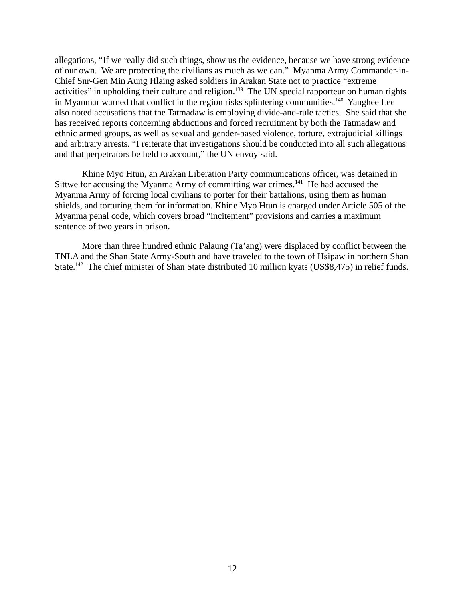allegations, "If we really did such things, show us the evidence, because we have strong evidence of our own. We are protecting the civilians as much as we can." Myanma Army Commander-in-Chief Snr-Gen Min Aung Hlaing asked soldiers in Arakan State not to practice "extreme activities" in upholding their culture and religion.<sup>139</sup> The UN special rapporteur on human rights in Myanmar warned that conflict in the region risks splintering communities.<sup>140</sup> Yanghee Lee also noted accusations that the Tatmadaw is employing divide-and-rule tactics. She said that she has received reports concerning abductions and forced recruitment by both the Tatmadaw and ethnic armed groups, as well as sexual and gender-based violence, torture, extrajudicial killings and arbitrary arrests. "I reiterate that investigations should be conducted into all such allegations and that perpetrators be held to account," the UN envoy said.

Khine Myo Htun, an Arakan Liberation Party communications officer, was detained in Sittwe for accusing the Myanma Army of committing war crimes.<sup>141</sup> He had accused the Myanma Army of forcing local civilians to porter for their battalions, using them as human shields, and torturing them for information. Khine Myo Htun is charged under Article 505 of the Myanma penal code, which covers broad "incitement" provisions and carries a maximum sentence of two years in prison.

More than three hundred ethnic Palaung (Ta'ang) were displaced by conflict between the TNLA and the Shan State Army-South and have traveled to the town of Hsipaw in northern Shan State.<sup>142</sup> The chief minister of Shan State distributed 10 million kyats (US\$8,475) in relief funds.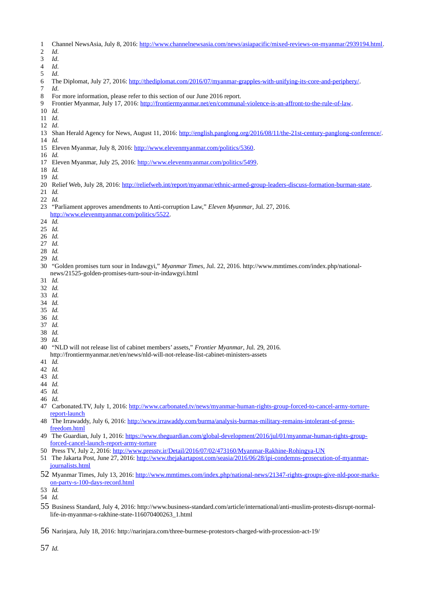- 1 Channel NewsAsia, July 8, 2016: [http://www.channelnewsasia.com/news/asiapacific/mixed-reviews-on-myanmar/2939194.html.](http://www.channelnewsasia.com/news/asiapacific/mixed-reviews-on-myanmar/2939194.html)
- *Id*.
- *Id*.
- *Id*. *Id*.
- 6 The Diplomat, July 27, 2016: [http://thediplomat.com/2016/07/myanmar-grapples-with-unifying-its-core-and-periphery/.](http://thediplomat.com/2016/07/myanmar-grapples-with-unifying-its-core-and-periphery/)
- *Id*.
- 8 For more information, please refer to this section of our June 2016 report.
- 9 Frontier Myanmar, July 17, 2016: [http://frontiermyanmar.net/en/communal-violence-is-an-affront-to-the-rule-of-law.](http://frontiermyanmar.net/en/communal-violence-is-an-affront-to-the-rule-of-law)
- *Id*.
- *Id*.
- *Id*.
- 13 Shan Herald Agency for News, August 11, 2016: [http://english.panglong.org/2016/08/11/the-21st-century-panglong-conference/.](http://english.panglong.org/2016/08/11/the-21st-century-panglong-conference/)
- *Id.*
- 15 Eleven Myanmar, July 8, 2016: [http://www.elevenmyanmar.com/politics/5360.](http://www.elevenmyanmar.com/politics/5360)
- *Id.*
- 17 Eleven Myanmar, July 25, 2016: [http://www.elevenmyanmar.com/politics/5499.](http://www.elevenmyanmar.com/politics/5499)
- *Id.*
- *Id.*
- 20 Relief Web, July 28, 2016: [http://reliefweb.int/report/myanmar/ethnic-armed-group-leaders-discuss-formation-burman-state.](http://reliefweb.int/report/myanmar/ethnic-armed-group-leaders-discuss-formation-burman-state)
- *Id.*
- *Id.*

#### 23 "Parliament approves amendments to Anti-corruption Law," *Eleven Myanmar*, Jul. 27, 2016. [http://www.elevenmyanmar.com/politics/5522.](http://www.elevenmyanmar.com/politics/5522)

- *Id.*
- *Id.*
- *Id.*
- *Id.*
- *Id.*
- *Id.*
- 30 "Golden promises turn sour in Indawgyi," *Myanmar Times,* Jul. 22, 2016. http://www.mmtimes.com/index.php/nationalnews/21525-golden-promises-turn-sour-in-indawgyi.html
- *Id.*
- *Id.*
- *Id.*
- *Id.*
- *Id.*
- *Id. Id.*
- *Id.*
- *Id.*

40 "NLD will not release list of cabinet members' assets," *Frontier Myanmar*, Jul. 29, 2016. http://frontiermyanmar.net/en/news/nld-will-not-release-list-cabinet-ministers-assets

- *Id.*
- *Id.*
- *Id.*
- *Id.*
- *Id.*
- *Id.*
- 47 Carbonated.TV, July 1, 2016: [http://www.carbonated.tv/news/myanmar-human-rights-group-forced-to-cancel-army-torture](http://www.carbonated.tv/news/myanmar-human-rights-group-forced-to-cancel-army-torture-report-launch)[report-launch](http://www.carbonated.tv/news/myanmar-human-rights-group-forced-to-cancel-army-torture-report-launch)
- 48 The Irrawaddy, July 6, 2016: [http://www.irrawaddy.com/burma/analysis-burmas-military-remains-intolerant-of-press](http://www.irrawaddy.com/burma/analysis-burmas-military-remains-intolerant-of-press-freedom.html)[freedom.html](http://www.irrawaddy.com/burma/analysis-burmas-military-remains-intolerant-of-press-freedom.html)
- 49 The Guardian, July 1, 2016: [https://www.theguardian.com/global-development/2016/jul/01/myanmar-human-rights-group](https://www.theguardian.com/global-development/2016/jul/01/myanmar-human-rights-group-forced-cancel-launch-report-army-torture)[forced-cancel-launch-report-army-torture](https://www.theguardian.com/global-development/2016/jul/01/myanmar-human-rights-group-forced-cancel-launch-report-army-torture)
- 50 Press TV, July 2, 2016:<http://www.presstv.ir/Detail/2016/07/02/473160/Myanmar-Rakhine-Rohingya-UN>
- 51 The Jakarta Post, June 27, 2016: [http://www.thejakartapost.com/seasia/2016/06/28/ipi-condemns-prosecution-of-myanmar](http://www.thejakartapost.com/seasia/2016/06/28/ipi-condemns-prosecution-of-myanmar-journalists.html)[journalists.html](http://www.thejakartapost.com/seasia/2016/06/28/ipi-condemns-prosecution-of-myanmar-journalists.html)
- Myanmar Times, July 13, 2016: [http://www.mmtimes.com/index.php/national-news/21347-rights-groups-give-nld-poor-marks](http://www.mmtimes.com/index.php/national-news/21347-rights-groups-give-nld-poor-marks-on-party-s-100-days-record.html)[on-party-s-100-days-record.html](http://www.mmtimes.com/index.php/national-news/21347-rights-groups-give-nld-poor-marks-on-party-s-100-days-record.html)
- *Id.*
- *Id.*
- Business Standard, July 4, 2016: http://www.business-standard.com/article/international/anti-muslim-protests-disrupt-normallife-in-myanmar-s-rakhine-state-116070400263\_1.html
- Narinjara, July 18, 2016: http://narinjara.com/three-burmese-protestors-charged-with-procession-act-19/

*Id.*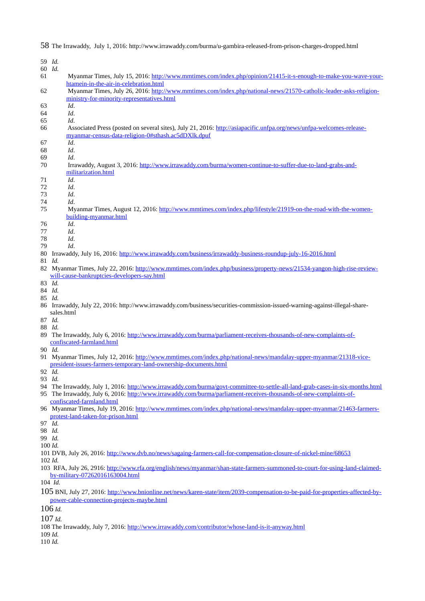59 *Id.*  60 *Id.* 61 Myanmar Times, July 15, 2016: [http://www.mmtimes.com/index.php/opinion/21415-it-s-enough-to-make-you-wave-your](http://www.mmtimes.com/index.php/opinion/21415-it-s-enough-to-make-you-wave-your-htamein-in-the-air-in-celebration.html)[htamein-in-the-air-in-celebration.html](http://www.mmtimes.com/index.php/opinion/21415-it-s-enough-to-make-you-wave-your-htamein-in-the-air-in-celebration.html) 62 Myanmar Times, July 26, 2016: [http://www.mmtimes.com/index.php/national-news/21570-catholic-leader-asks-religion](http://www.mmtimes.com/index.php/national-news/21570-catholic-leader-asks-religion-ministry-for-minority-representatives.html)[ministry-for-minority-representatives.html](http://www.mmtimes.com/index.php/national-news/21570-catholic-leader-asks-religion-ministry-for-minority-representatives.html) 63 *Id*. 64 *Id*. 65 *Id*. 66 Associated Press (posted on several sites), July 21, 2016: [http://asiapacific.unfpa.org/news/unfpa-welcomes-release](http://asiapacific.unfpa.org/news/unfpa-welcomes-release-myanmar-census-data-religion-0#sthash.ac5dDXlk.dpuf)[myanmar-census-data-religion-0#sthash.ac5dDXlk.dpuf](http://asiapacific.unfpa.org/news/unfpa-welcomes-release-myanmar-census-data-religion-0#sthash.ac5dDXlk.dpuf)  67 *Id*. 68 *Id*. 69 *Id*. 70 Irrawaddy, August 3, 2016: [http://www.irrawaddy.com/burma/women-continue-to-suffer-due-to-land-grabs-and](http://www.irrawaddy.com/burma/women-continue-to-suffer-due-to-land-grabs-and-militarization.html)[militarization.html](http://www.irrawaddy.com/burma/women-continue-to-suffer-due-to-land-grabs-and-militarization.html) 71 *Id*. 72 *Id*. 73 *Id*. 74 *Id*. 75 Myanmar Times, August 12, 2016: [http://www.mmtimes.com/index.php/lifestyle/21919-on-the-road-with-the-women](http://www.mmtimes.com/index.php/lifestyle/21919-on-the-road-with-the-women-building-myanmar.html)[building-myanmar.html](http://www.mmtimes.com/index.php/lifestyle/21919-on-the-road-with-the-women-building-myanmar.html) 76 *Id*. 77 *Id*. 78 *Id*. 79 *Id*. 80 Irrawaddy, July 16, 2016:<http://www.irrawaddy.com/business/irrawaddy-business-roundup-july-16-2016.html> 81 *Id.* 82 Myanmar Times, July 22, 2016: [http://www.mmtimes.com/index.php/business/property-news/21534-yangon-high-rise-review](http://www.mmtimes.com/index.php/business/property-news/21534-yangon-high-rise-review-will-cause-bankruptcies-developers-say.html)[will-cause-bankruptcies-developers-say.html](http://www.mmtimes.com/index.php/business/property-news/21534-yangon-high-rise-review-will-cause-bankruptcies-developers-say.html) 83 *Id.* 84 *Id.* 85 *Id.* 86 Irrawaddy, July 22, 2016: http://www.irrawaddy.com/business/securities-commission-issued-warning-against-illegal-sharesales.html 87 *Id.* 88 *Id.* 89 The Irrawaddy, July 6, 2016: [http://www.irrawaddy.com/burma/parliament-receives-thousands-of-new-complaints-of](http://www.irrawaddy.com/burma/parliament-receives-thousands-of-new-complaints-of-confiscated-farmland.html)[confiscated-farmland.html](http://www.irrawaddy.com/burma/parliament-receives-thousands-of-new-complaints-of-confiscated-farmland.html) 90 *Id.* 91 Myanmar Times, July 12, 2016: [http://www.mmtimes.com/index.php/national-news/mandalay-upper-myanmar/21318-vice](http://www.mmtimes.com/index.php/national-news/mandalay-upper-myanmar/21318-vice-president-issues-farmers-temporary-land-ownership-documents.html)[president-issues-farmers-temporary-land-ownership-documents.html](http://www.mmtimes.com/index.php/national-news/mandalay-upper-myanmar/21318-vice-president-issues-farmers-temporary-land-ownership-documents.html) 92 *Id.* 93 *Id.* 94 The Irrawaddy, July 1, 2016:<http://www.irrawaddy.com/burma/govt-committee-to-settle-all-land-grab-cases-in-six-months.html> 95 The Irrawaddy, July 6, 2016: [http://www.irrawaddy.com/burma/parliament-receives-thousands-of-new-complaints-of](http://www.irrawaddy.com/burma/parliament-receives-thousands-of-new-complaints-of-confiscated-farmland.html)[confiscated-farmland.html](http://www.irrawaddy.com/burma/parliament-receives-thousands-of-new-complaints-of-confiscated-farmland.html) 96 Myanmar Times, July 19, 2016: [http://www.mmtimes.com/index.php/national-news/mandalay-upper-myanmar/21463-farmers](http://www.mmtimes.com/index.php/national-news/mandalay-upper-myanmar/21463-farmers-protest-land-taken-for-prison.html)[protest-land-taken-for-prison.html](http://www.mmtimes.com/index.php/national-news/mandalay-upper-myanmar/21463-farmers-protest-land-taken-for-prison.html) 97 *Id.* 98 *Id.* 99 *Id.* 100 *Id.* 101 DVB, July 26, 2016:<http://www.dvb.no/news/sagaing-farmers-call-for-compensation-closure-of-nickel-mine/68653> 102 *Id.* 103 RFA, July 26, 2916: [http://www.rfa.org/english/news/myanmar/shan-state-farmers-summoned-to-court-for-using-land-claimed](http://www.rfa.org/english/news/myanmar/shan-state-farmers-summoned-to-court-for-using-land-claimed-by-military-07262016163004.html)[by-military-07262016163004.html](http://www.rfa.org/english/news/myanmar/shan-state-farmers-summoned-to-court-for-using-land-claimed-by-military-07262016163004.html) 104 *Id.* 105 BNI, July 27, 2016: [http://www.bnionline.net/news/karen-state/item/2039-compensation-to-be-paid-for-properties-affected-by](http://www.bnionline.net/news/karen-state/item/2039-compensation-to-be-paid-for-properties-affected-by-power-cable-connection-projects-maybe.html)[power-cable-connection-projects-maybe.html](http://www.bnionline.net/news/karen-state/item/2039-compensation-to-be-paid-for-properties-affected-by-power-cable-connection-projects-maybe.html) 106 *Id.* 107 *Id.* 108 The Irrawaddy, July 7, 2016:<http://www.irrawaddy.com/contributor/whose-land-is-it-anyway.html> 109 *Id.*

58 The Irrawaddy, July 1, 2016: http://www.irrawaddy.com/burma/u-gambira-released-from-prison-charges-dropped.html

110 *Id.*